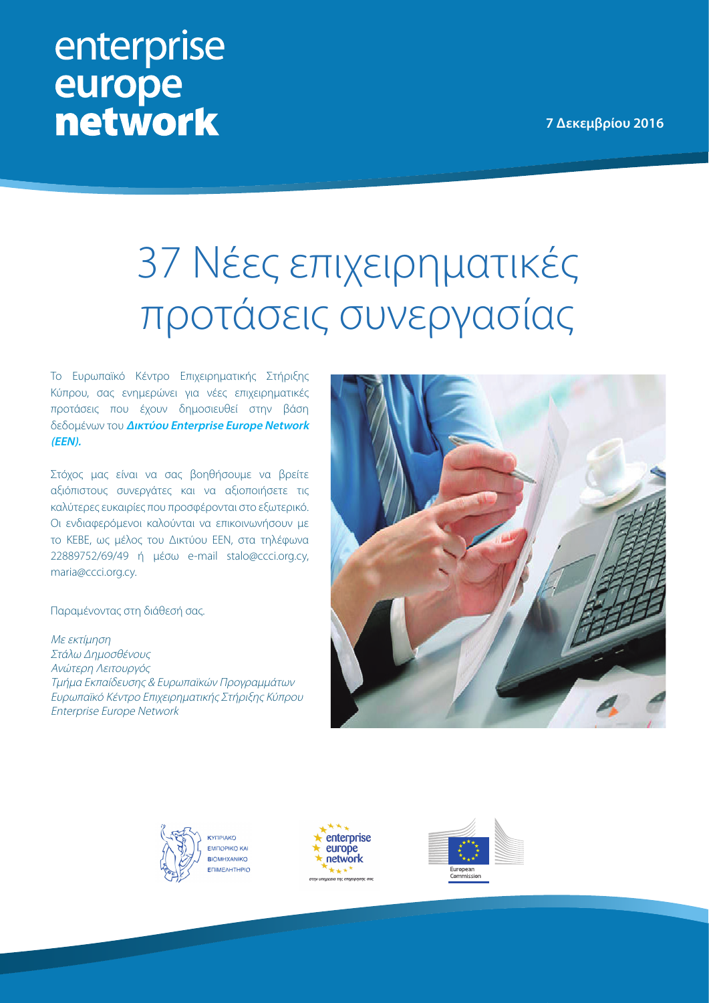**7 Δεκεμβρίου 2016**

## enterprise europe **network**

## 37 Νέες επιχειρηματικές προτάσεις συνεργασίας

Το Ευρωπαϊκό Κέντρο Επιχειρηματικής Στήριξης Κύπρου, σας ενημερώνει για νέες επιχειρηματικές προτάσεις που έχουν δημοσιευθεί στην βάση δεδομένων του **[Δικτύου Enterprise Europe Network](http://een.ec.europa.eu/)  (EEN).** 

Στόχος μας είναι να σας βοηθήσουμε να βρείτε αξιόπιστους συνεργάτες και να αξιοποιήσετε τις καλύτερες ευκαιρίες που προσφέρονται στο εξωτερικό. Οι ενδιαφερόμενοι καλούνται να επικοινωνήσουν με το ΚΕΒΕ, ως μέλος του Δικτύου EEN, στα τηλέφωνα 22889752/69/49 ή μέσω e-mail stalo@ccci.org.cy, maria@ccci.org.cy.

Παραμένοντας στη διάθεσή σας.

Με εκτίμηση Στάλω Δημοσθένους Ανώτερη Λειτουργός Τμήμα Εκπαίδευσης & Ευρωπαϊκών Προγραμμάτων Ευρωπαϊκό Κέντρο Επιχειρηματικής Στήριξης Κύπρου Enterprise Europe Network







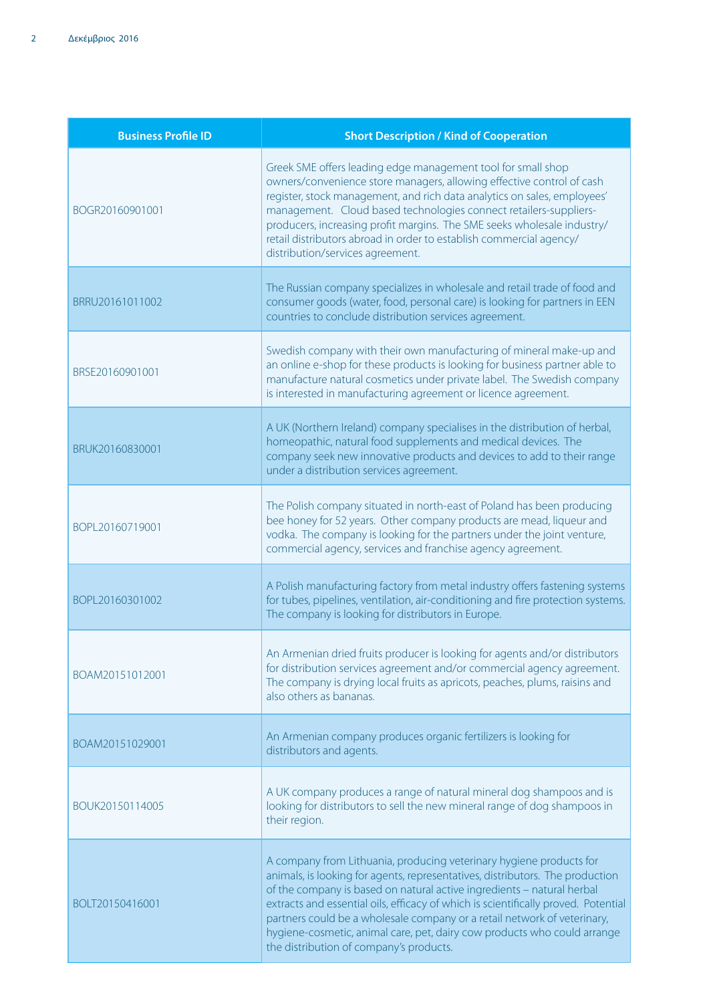| <b>Business Profile ID</b> | <b>Short Description / Kind of Cooperation</b>                                                                                                                                                                                                                                                                                                                                                                                                                                                                          |
|----------------------------|-------------------------------------------------------------------------------------------------------------------------------------------------------------------------------------------------------------------------------------------------------------------------------------------------------------------------------------------------------------------------------------------------------------------------------------------------------------------------------------------------------------------------|
| BOGR20160901001            | Greek SME offers leading edge management tool for small shop<br>owners/convenience store managers, allowing effective control of cash<br>register, stock management, and rich data analytics on sales, employees'<br>management. Cloud based technologies connect retailers-suppliers-<br>producers, increasing profit margins. The SME seeks wholesale industry/<br>retail distributors abroad in order to establish commercial agency/<br>distribution/services agreement.                                            |
| BRRU20161011002            | The Russian company specializes in wholesale and retail trade of food and<br>consumer goods (water, food, personal care) is looking for partners in EEN<br>countries to conclude distribution services agreement.                                                                                                                                                                                                                                                                                                       |
| BRSE20160901001            | Swedish company with their own manufacturing of mineral make-up and<br>an online e-shop for these products is looking for business partner able to<br>manufacture natural cosmetics under private label. The Swedish company<br>is interested in manufacturing agreement or licence agreement.                                                                                                                                                                                                                          |
| BRUK20160830001            | A UK (Northern Ireland) company specialises in the distribution of herbal,<br>homeopathic, natural food supplements and medical devices. The<br>company seek new innovative products and devices to add to their range<br>under a distribution services agreement.                                                                                                                                                                                                                                                      |
| BOPL20160719001            | The Polish company situated in north-east of Poland has been producing<br>bee honey for 52 years. Other company products are mead, liqueur and<br>vodka. The company is looking for the partners under the joint venture,<br>commercial agency, services and franchise agency agreement.                                                                                                                                                                                                                                |
| BOPL20160301002            | A Polish manufacturing factory from metal industry offers fastening systems<br>for tubes, pipelines, ventilation, air-conditioning and fire protection systems.<br>The company is looking for distributors in Europe.                                                                                                                                                                                                                                                                                                   |
| BOAM20151012001            | An Armenian dried fruits producer is looking for agents and/or distributors<br>for distribution services agreement and/or commercial agency agreement.<br>The company is drying local fruits as apricots, peaches, plums, raisins and<br>also others as bananas.                                                                                                                                                                                                                                                        |
| BOAM20151029001            | An Armenian company produces organic fertilizers is looking for<br>distributors and agents.                                                                                                                                                                                                                                                                                                                                                                                                                             |
| BOUK20150114005            | A UK company produces a range of natural mineral dog shampoos and is<br>looking for distributors to sell the new mineral range of dog shampoos in<br>their region.                                                                                                                                                                                                                                                                                                                                                      |
| BOLT20150416001            | A company from Lithuania, producing veterinary hygiene products for<br>animals, is looking for agents, representatives, distributors. The production<br>of the company is based on natural active ingredients - natural herbal<br>extracts and essential oils, efficacy of which is scientifically proved. Potential<br>partners could be a wholesale company or a retail network of veterinary,<br>hygiene-cosmetic, animal care, pet, dairy cow products who could arrange<br>the distribution of company's products. |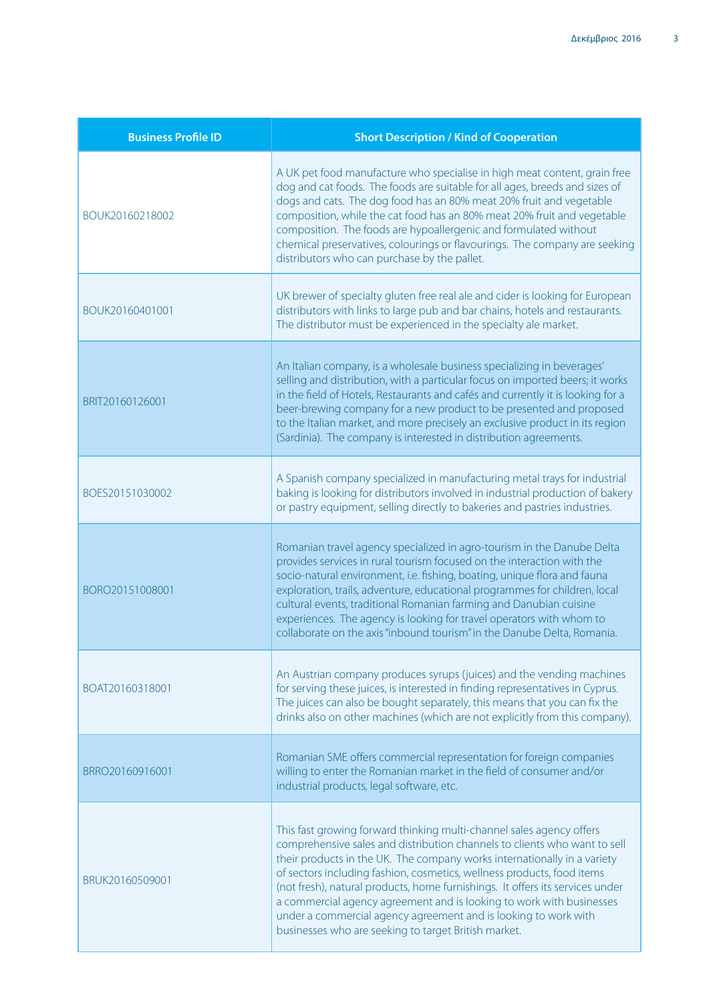| <b>Business Profile ID</b> | <b>Short Description / Kind of Cooperation</b>                                                                                                                                                                                                                                                                                                                                                                                                                                                                                                                                              |
|----------------------------|---------------------------------------------------------------------------------------------------------------------------------------------------------------------------------------------------------------------------------------------------------------------------------------------------------------------------------------------------------------------------------------------------------------------------------------------------------------------------------------------------------------------------------------------------------------------------------------------|
| BOUK20160218002            | A UK pet food manufacture who specialise in high meat content, grain free<br>dog and cat foods. The foods are suitable for all ages, breeds and sizes of<br>dogs and cats. The dog food has an 80% meat 20% fruit and vegetable<br>composition, while the cat food has an 80% meat 20% fruit and vegetable<br>composition. The foods are hypoallergenic and formulated without<br>chemical preservatives, colourings or flavourings. The company are seeking<br>distributors who can purchase by the pallet.                                                                                |
| BOUK20160401001            | UK brewer of specialty gluten free real ale and cider is looking for European<br>distributors with links to large pub and bar chains, hotels and restaurants.<br>The distributor must be experienced in the specialty ale market.                                                                                                                                                                                                                                                                                                                                                           |
| BRIT20160126001            | An Italian company, is a wholesale business specializing in beverages'<br>selling and distribution, with a particular focus on imported beers; it works<br>in the field of Hotels, Restaurants and cafés and currently it is looking for a<br>beer-brewing company for a new product to be presented and proposed<br>to the Italian market, and more precisely an exclusive product in its region<br>(Sardinia). The company is interested in distribution agreements.                                                                                                                      |
| BOES20151030002            | A Spanish company specialized in manufacturing metal trays for industrial<br>baking is looking for distributors involved in industrial production of bakery<br>or pastry equipment, selling directly to bakeries and pastries industries.                                                                                                                                                                                                                                                                                                                                                   |
| BORO20151008001            | Romanian travel agency specialized in agro-tourism in the Danube Delta<br>provides services in rural tourism focused on the interaction with the<br>socio-natural environment, i.e. fishing, boating, unique flora and fauna<br>exploration, trails, adventure, educational programmes for children, local<br>cultural events, traditional Romanian farming and Danubian cuisine<br>experiences. The agency is looking for travel operators with whom to<br>collaborate on the axis "inbound tourism" in the Danube Delta, Romania.                                                         |
| BOAT20160318001            | An Austrian company produces syrups (juices) and the vending machines<br>for serving these juices, is interested in finding representatives in Cyprus.<br>The juices can also be bought separately, this means that you can fix the<br>drinks also on other machines (which are not explicitly from this company).                                                                                                                                                                                                                                                                          |
| BRRO20160916001            | Romanian SME offers commercial representation for foreign companies<br>willing to enter the Romanian market in the field of consumer and/or<br>industrial products, legal software, etc.                                                                                                                                                                                                                                                                                                                                                                                                    |
| BRUK20160509001            | This fast growing forward thinking multi-channel sales agency offers<br>comprehensive sales and distribution channels to clients who want to sell<br>their products in the UK. The company works internationally in a variety<br>of sectors including fashion, cosmetics, wellness products, food items<br>(not fresh), natural products, home furnishings. It offers its services under<br>a commercial agency agreement and is looking to work with businesses<br>under a commercial agency agreement and is looking to work with<br>businesses who are seeking to target British market. |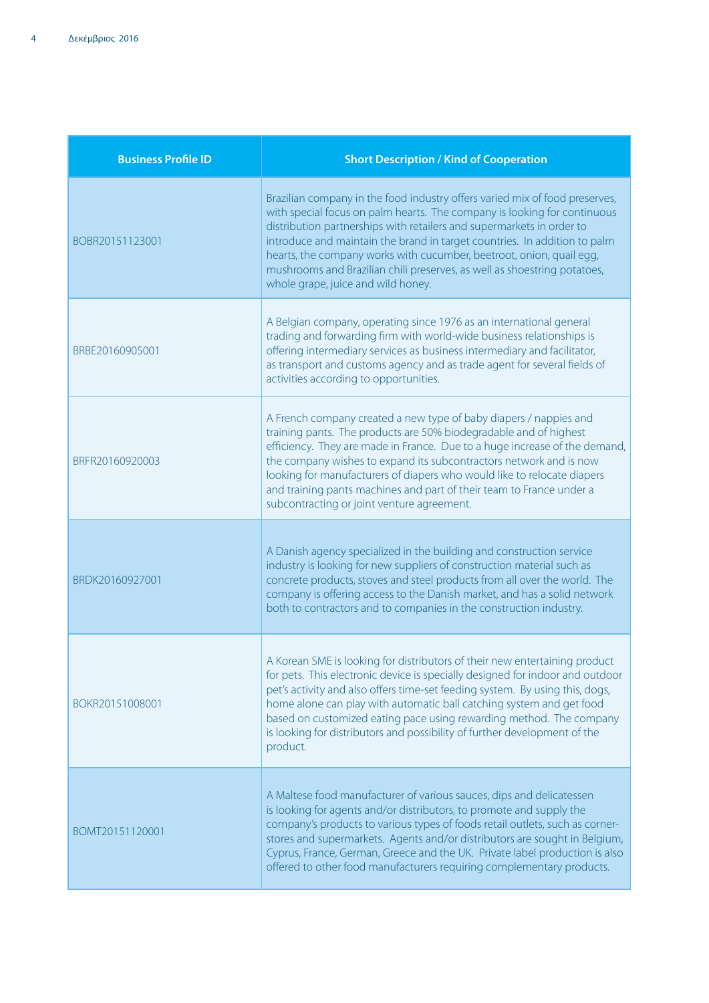| <b>Business Profile ID</b> | <b>Short Description / Kind of Cooperation</b>                                                                                                                                                                                                                                                                                                                                                                                                                                                          |
|----------------------------|---------------------------------------------------------------------------------------------------------------------------------------------------------------------------------------------------------------------------------------------------------------------------------------------------------------------------------------------------------------------------------------------------------------------------------------------------------------------------------------------------------|
| BOBR20151123001            | Brazilian company in the food industry offers varied mix of food preserves,<br>with special focus on palm hearts. The company is looking for continuous<br>distribution partnerships with retailers and supermarkets in order to<br>introduce and maintain the brand in target countries. In addition to palm<br>hearts, the company works with cucumber, beetroot, onion, quail egg,<br>mushrooms and Brazilian chili preserves, as well as shoestring potatoes,<br>whole grape, juice and wild honey. |
| BRBE20160905001            | A Belgian company, operating since 1976 as an international general<br>trading and forwarding firm with world-wide business relationships is<br>offering intermediary services as business intermediary and facilitator,<br>as transport and customs agency and as trade agent for several fields of<br>activities according to opportunities.                                                                                                                                                          |
| BRFR20160920003            | A French company created a new type of baby diapers / nappies and<br>training pants. The products are 50% biodegradable and of highest<br>efficiency. They are made in France. Due to a huge increase of the demand,<br>the company wishes to expand its subcontractors network and is now<br>looking for manufacturers of diapers who would like to relocate diapers<br>and training pants machines and part of their team to France under a<br>subcontracting or joint venture agreement.             |
| BRDK20160927001            | A Danish agency specialized in the building and construction service<br>industry is looking for new suppliers of construction material such as<br>concrete products, stoves and steel products from all over the world. The<br>company is offering access to the Danish market, and has a solid network<br>both to contractors and to companies in the construction industry.                                                                                                                           |
| BOKR20151008001            | A Korean SME is looking for distributors of their new entertaining product<br>for pets. This electronic device is specially designed for indoor and outdoor<br>pet's activity and also offers time-set feeding system. By using this, dogs,<br>home alone can play with automatic ball catching system and get food<br>based on customized eating pace using rewarding method. The company<br>is looking for distributors and possibility of further development of the<br>product.                     |
| BOMT20151120001            | A Maltese food manufacturer of various sauces, dips and delicatessen<br>is looking for agents and/or distributors, to promote and supply the<br>company's products to various types of foods retail outlets, such as corner-<br>stores and supermarkets. Agents and/or distributors are sought in Belgium,<br>Cyprus, France, German, Greece and the UK. Private label production is also<br>offered to other food manufacturers requiring complementary products.                                      |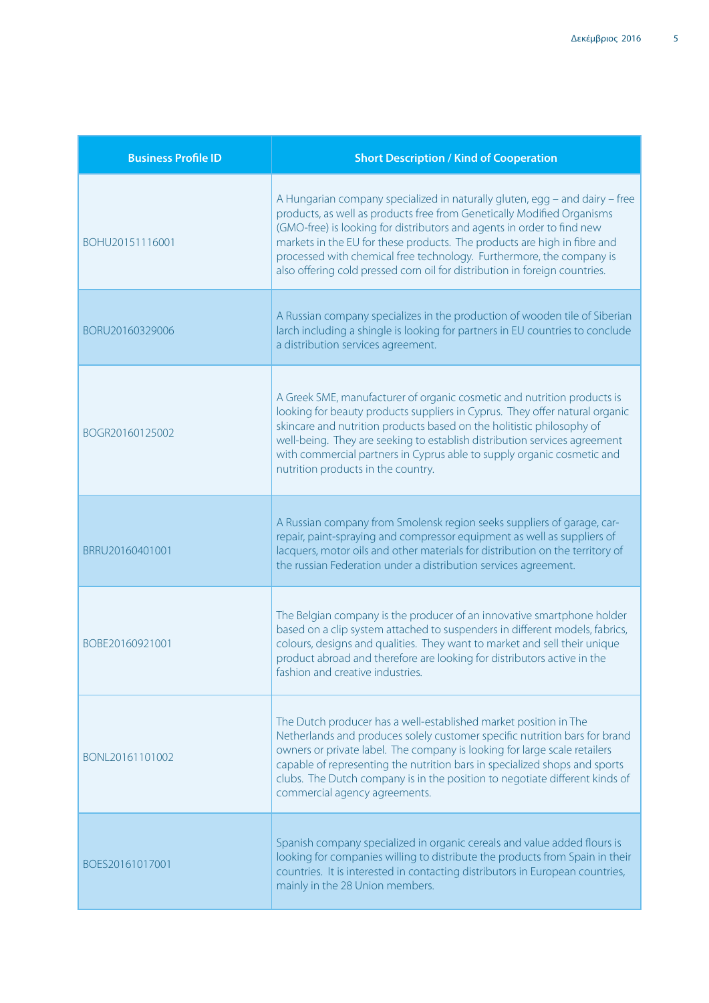| <b>Business Profile ID</b> | <b>Short Description / Kind of Cooperation</b>                                                                                                                                                                                                                                                                                                                                                                                                                    |
|----------------------------|-------------------------------------------------------------------------------------------------------------------------------------------------------------------------------------------------------------------------------------------------------------------------------------------------------------------------------------------------------------------------------------------------------------------------------------------------------------------|
| BOHU20151116001            | A Hungarian company specialized in naturally gluten, egg - and dairy - free<br>products, as well as products free from Genetically Modified Organisms<br>(GMO-free) is looking for distributors and agents in order to find new<br>markets in the EU for these products. The products are high in fibre and<br>processed with chemical free technology. Furthermore, the company is<br>also offering cold pressed corn oil for distribution in foreign countries. |
| BORU20160329006            | A Russian company specializes in the production of wooden tile of Siberian<br>larch including a shingle is looking for partners in EU countries to conclude<br>a distribution services agreement.                                                                                                                                                                                                                                                                 |
| BOGR20160125002            | A Greek SME, manufacturer of organic cosmetic and nutrition products is<br>looking for beauty products suppliers in Cyprus. They offer natural organic<br>skincare and nutrition products based on the holitistic philosophy of<br>well-being. They are seeking to establish distribution services agreement<br>with commercial partners in Cyprus able to supply organic cosmetic and<br>nutrition products in the country.                                      |
| BRRU20160401001            | A Russian company from Smolensk region seeks suppliers of garage, car-<br>repair, paint-spraying and compressor equipment as well as suppliers of<br>lacquers, motor oils and other materials for distribution on the territory of<br>the russian Federation under a distribution services agreement.                                                                                                                                                             |
| BOBE20160921001            | The Belgian company is the producer of an innovative smartphone holder<br>based on a clip system attached to suspenders in different models, fabrics,<br>colours, designs and qualities. They want to market and sell their unique<br>product abroad and therefore are looking for distributors active in the<br>fashion and creative industries.                                                                                                                 |
| BONL20161101002            | The Dutch producer has a well-established market position in The<br>Netherlands and produces solely customer specific nutrition bars for brand<br>owners or private label. The company is looking for large scale retailers<br>capable of representing the nutrition bars in specialized shops and sports<br>clubs. The Dutch company is in the position to negotiate different kinds of<br>commercial agency agreements.                                         |
| BOES20161017001            | Spanish company specialized in organic cereals and value added flours is<br>looking for companies willing to distribute the products from Spain in their<br>countries. It is interested in contacting distributors in European countries,<br>mainly in the 28 Union members.                                                                                                                                                                                      |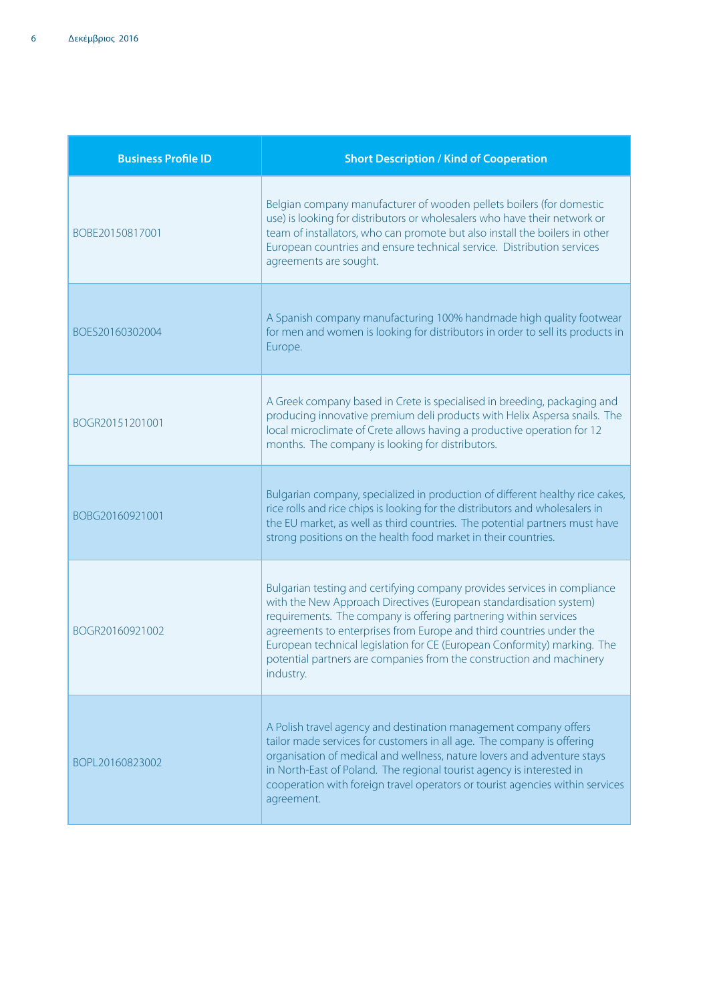| <b>Business Profile ID</b> | <b>Short Description / Kind of Cooperation</b>                                                                                                                                                                                                                                                                                                                                                                                                             |
|----------------------------|------------------------------------------------------------------------------------------------------------------------------------------------------------------------------------------------------------------------------------------------------------------------------------------------------------------------------------------------------------------------------------------------------------------------------------------------------------|
| BOBE20150817001            | Belgian company manufacturer of wooden pellets boilers (for domestic<br>use) is looking for distributors or wholesalers who have their network or<br>team of installators, who can promote but also install the boilers in other<br>European countries and ensure technical service. Distribution services<br>agreements are sought.                                                                                                                       |
| BOES20160302004            | A Spanish company manufacturing 100% handmade high quality footwear<br>for men and women is looking for distributors in order to sell its products in<br>Europe.                                                                                                                                                                                                                                                                                           |
| BOGR20151201001            | A Greek company based in Crete is specialised in breeding, packaging and<br>producing innovative premium deli products with Helix Aspersa snails. The<br>local microclimate of Crete allows having a productive operation for 12<br>months. The company is looking for distributors.                                                                                                                                                                       |
| BOBG20160921001            | Bulgarian company, specialized in production of different healthy rice cakes,<br>rice rolls and rice chips is looking for the distributors and wholesalers in<br>the EU market, as well as third countries. The potential partners must have<br>strong positions on the health food market in their countries.                                                                                                                                             |
| BOGR20160921002            | Bulgarian testing and certifying company provides services in compliance<br>with the New Approach Directives (European standardisation system)<br>requirements. The company is offering partnering within services<br>agreements to enterprises from Europe and third countries under the<br>European technical legislation for CE (European Conformity) marking. The<br>potential partners are companies from the construction and machinery<br>industry. |
| BOPL20160823002            | A Polish travel agency and destination management company offers<br>tailor made services for customers in all age. The company is offering<br>organisation of medical and wellness, nature lovers and adventure stays<br>in North-East of Poland. The regional tourist agency is interested in<br>cooperation with foreign travel operators or tourist agencies within services<br>agreement.                                                              |